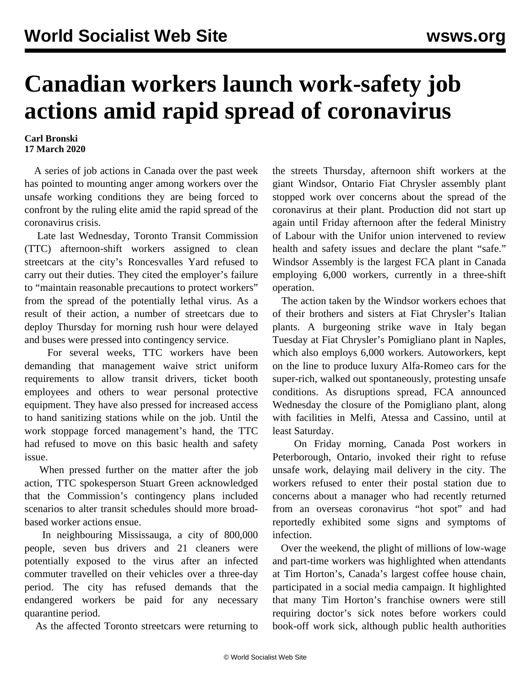## **Canadian workers launch work-safety job actions amid rapid spread of coronavirus**

## **Carl Bronski 17 March 2020**

 A series of job actions in Canada over the past week has pointed to mounting anger among workers over the unsafe working conditions they are being forced to confront by the ruling elite amid the rapid spread of the coronavirus crisis.

 Late last Wednesday, Toronto Transit Commission (TTC) afternoon-shift workers assigned to clean streetcars at the city's Roncesvalles Yard refused to carry out their duties. They cited the employer's failure to "maintain reasonable precautions to protect workers" from the spread of the potentially lethal virus. As a result of their action, a number of streetcars due to deploy Thursday for morning rush hour were delayed and buses were pressed into contingency service.

 For several weeks, TTC workers have been demanding that management waive strict uniform requirements to allow transit drivers, ticket booth employees and others to wear personal protective equipment. They have also pressed for increased access to hand sanitizing stations while on the job. Until the work stoppage forced management's hand, the TTC had refused to move on this basic health and safety issue.

 When pressed further on the matter after the job action, TTC spokesperson Stuart Green acknowledged that the Commission's contingency plans included scenarios to alter transit schedules should more broadbased worker actions ensue.

 In neighbouring Mississauga, a city of 800,000 people, seven bus drivers and 21 cleaners were potentially exposed to the virus after an infected commuter travelled on their vehicles over a three-day period. The city has refused demands that the endangered workers be paid for any necessary quarantine period.

As the affected Toronto streetcars were returning to

the streets Thursday, afternoon shift workers at the giant Windsor, Ontario Fiat Chrysler assembly plant stopped work over concerns about the spread of the coronavirus at their plant. Production did not start up again until Friday afternoon after the federal Ministry of Labour with the Unifor union intervened to review health and safety issues and declare the plant "safe." Windsor Assembly is the largest FCA plant in Canada employing 6,000 workers, currently in a three-shift operation.

 The action taken by the Windsor workers echoes that of their brothers and sisters at Fiat Chrysler's Italian plants. A burgeoning strike wave in Italy began Tuesday at Fiat Chrysler's Pomigliano plant in Naples, which also employs 6,000 workers. Autoworkers, kept on the line to produce luxury Alfa-Romeo cars for the super-rich, walked out spontaneously, protesting unsafe conditions. As disruptions spread, FCA announced Wednesday the closure of the Pomigliano plant, along with facilities in Melfi, Atessa and Cassino, until at least Saturday.

 On Friday morning, Canada Post workers in Peterborough, Ontario, invoked their right to refuse unsafe work, delaying mail delivery in the city. The workers refused to enter their postal station due to concerns about a manager who had recently returned from an overseas coronavirus "hot spot" and had reportedly exhibited some signs and symptoms of infection.

 Over the weekend, the plight of millions of low-wage and part-time workers was highlighted when attendants at Tim Horton's, Canada's largest coffee house chain, participated in a social media campaign. It highlighted that many Tim Horton's franchise owners were still requiring doctor's sick notes before workers could book-off work sick, although public health authorities